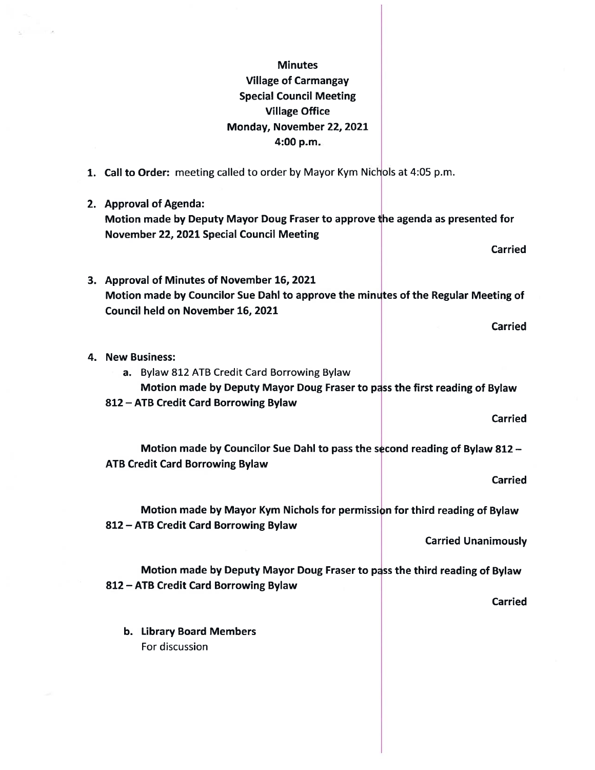## **Minutes** Village of Carmangay Special Council Meeting Village Office Monday, November 22, 2021 4:00 p.m.

1. Call to Order: meeting called to order by Mayor Kym Nichols at 4:05 p.m.

 $\sim$  16

2. Approval of Agenda: Motion made by Deputy Mayor Doug Fraser to approve the agenda as presented for November 22, 2021 Special Council Meeting Carried 3. Approval of Minutes of November 16, 2021 Motion made by Councilor Sue Dahl to approve the minutes of the Regular Meeting of Council held on November 16, 2021

Carried

4. New Business: a. Bylaw 812 ATB Credit Card Borrowing Bylaw Motion made by Deputy Mayor Doug Fraser to pass the first reading of Bylaw \$12 — ATB Credit Card Borrowing Bylaw Carried Motion made by Councilor Sue Dahl to pass the second reading of Bylaw 812 -ATE Credit Card Borrowing Bylaw Carried Motion made by Mayor Kym Nichols for permission for third reading of Bylaw 812 — ATB Credit Card Borrowing Bylaw Carried Unanimously Motion made by Deputy Mayor Doug Fraser to pass the third reading of Bylaw \$12 — ATE Credit Card Borrowing Bylaw

Carried

b. Library Board Members For discussion